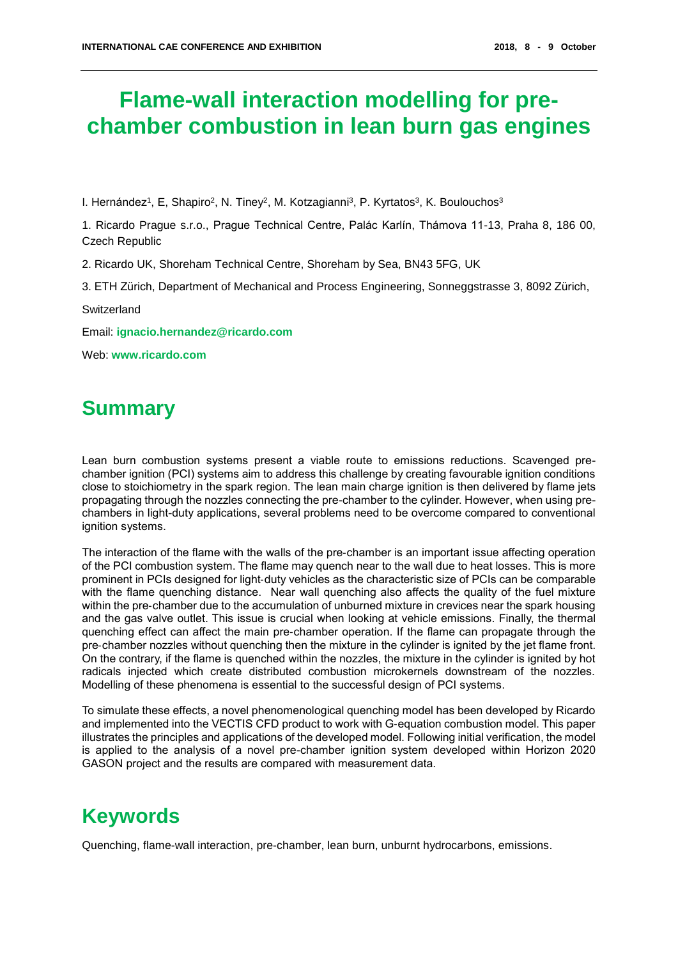# **Flame-wall interaction modelling for prechamber combustion in lean burn gas engines**

I. Hernández<sup>1</sup>, E, Shapiro<sup>2</sup>, N. Tiney<sup>2</sup>, M. Kotzagianni<sup>3</sup>, P. Kyrtatos<sup>3</sup>, K. Boulouchos<sup>3</sup>

1. Ricardo Prague s.r.o., Prague Technical Centre, Palác Karlín, Thámova 11-13, Praha 8, 186 00, Czech Republic

2. Ricardo UK, Shoreham Technical Centre, Shoreham by Sea, BN43 5FG, UK

3. ETH Zürich, Department of Mechanical and Process Engineering, Sonneggstrasse 3, 8092 Zürich,

**Switzerland** 

Email: **ignacio.hernandez[@ricardo.com](mailto:nick.tiney@ricardo.com)**

Web: **[www.ricardo.com](http://www.ricardo.com/)**

## **Summary**

Lean burn combustion systems present a viable route to emissions reductions. Scavenged prechamber ignition (PCI) systems aim to address this challenge by creating favourable ignition conditions close to stoichiometry in the spark region. The lean main charge ignition is then delivered by flame jets propagating through the nozzles connecting the pre-chamber to the cylinder. However, when using prechambers in light-duty applications, several problems need to be overcome compared to conventional ignition systems.

The interaction of the flame with the walls of the pre‐chamber is an important issue affecting operation of the PCI combustion system. The flame may quench near to the wall due to heat losses. This is more prominent in PCIs designed for light‐duty vehicles as the characteristic size of PCIs can be comparable with the flame quenching distance. Near wall quenching also affects the quality of the fuel mixture within the pre-chamber due to the accumulation of unburned mixture in crevices near the spark housing and the gas valve outlet. This issue is crucial when looking at vehicle emissions. Finally, the thermal quenching effect can affect the main pre‐chamber operation. If the flame can propagate through the pre‐chamber nozzles without quenching then the mixture in the cylinder is ignited by the jet flame front. On the contrary, if the flame is quenched within the nozzles, the mixture in the cylinder is ignited by hot radicals injected which create distributed combustion microkernels downstream of the nozzles. Modelling of these phenomena is essential to the successful design of PCI systems.

To simulate these effects, a novel phenomenological quenching model has been developed by Ricardo and implemented into the VECTIS CFD product to work with G-equation combustion model. This paper illustrates the principles and applications of the developed model. Following initial verification, the model is applied to the analysis of a novel pre-chamber ignition system developed within Horizon 2020 GASON project and the results are compared with measurement data.

# **Keywords**

Quenching, flame-wall interaction, pre-chamber, lean burn, unburnt hydrocarbons, emissions.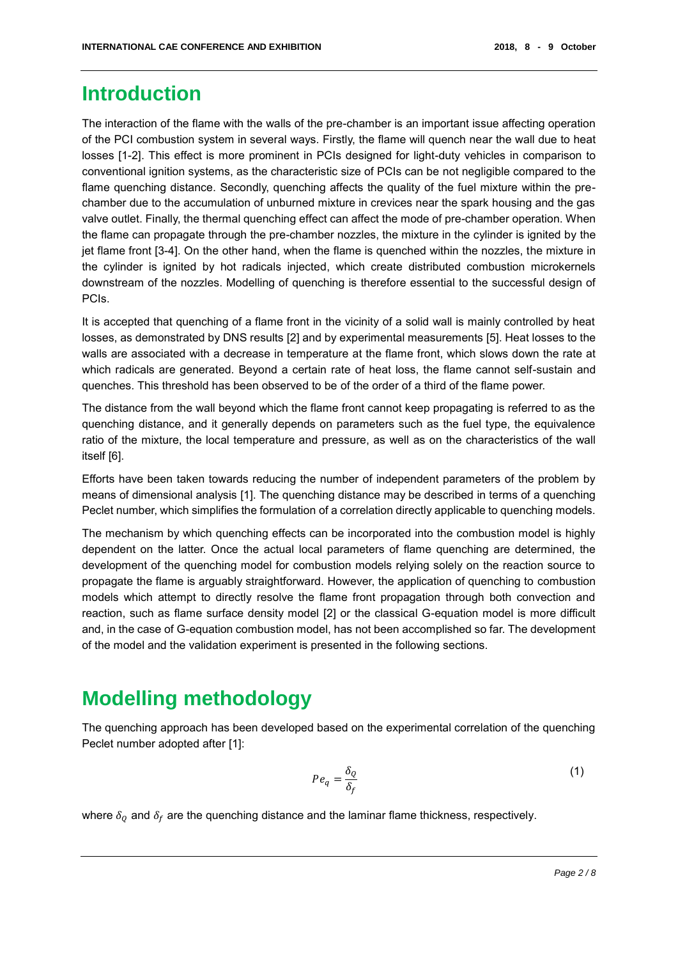#### **Introduction**

The interaction of the flame with the walls of the pre-chamber is an important issue affecting operation of the PCI combustion system in several ways. Firstly, the flame will quench near the wall due to heat losses [1-2]. This effect is more prominent in PCIs designed for light-duty vehicles in comparison to conventional ignition systems, as the characteristic size of PCIs can be not negligible compared to the flame quenching distance. Secondly, quenching affects the quality of the fuel mixture within the prechamber due to the accumulation of unburned mixture in crevices near the spark housing and the gas valve outlet. Finally, the thermal quenching effect can affect the mode of pre-chamber operation. When the flame can propagate through the pre-chamber nozzles, the mixture in the cylinder is ignited by the jet flame front [3-4]. On the other hand, when the flame is quenched within the nozzles, the mixture in the cylinder is ignited by hot radicals injected, which create distributed combustion microkernels downstream of the nozzles. Modelling of quenching is therefore essential to the successful design of PCIs.

It is accepted that quenching of a flame front in the vicinity of a solid wall is mainly controlled by heat losses, as demonstrated by DNS results [2] and by experimental measurements [5]. Heat losses to the walls are associated with a decrease in temperature at the flame front, which slows down the rate at which radicals are generated. Beyond a certain rate of heat loss, the flame cannot self-sustain and quenches. This threshold has been observed to be of the order of a third of the flame power.

The distance from the wall beyond which the flame front cannot keep propagating is referred to as the quenching distance, and it generally depends on parameters such as the fuel type, the equivalence ratio of the mixture, the local temperature and pressure, as well as on the characteristics of the wall itself [6].

Efforts have been taken towards reducing the number of independent parameters of the problem by means of dimensional analysis [1]. The quenching distance may be described in terms of a quenching Peclet number, which simplifies the formulation of a correlation directly applicable to quenching models.

The mechanism by which quenching effects can be incorporated into the combustion model is highly dependent on the latter. Once the actual local parameters of flame quenching are determined, the development of the quenching model for combustion models relying solely on the reaction source to propagate the flame is arguably straightforward. However, the application of quenching to combustion models which attempt to directly resolve the flame front propagation through both convection and reaction, such as flame surface density model [2] or the classical G-equation model is more difficult and, in the case of G-equation combustion model, has not been accomplished so far. The development of the model and the validation experiment is presented in the following sections.

## **Modelling methodology**

The quenching approach has been developed based on the experimental correlation of the quenching Peclet number adopted after [1]:

$$
Pe_q = \frac{\delta_Q}{\delta_f} \tag{1}
$$

where  $\delta_0$  and  $\delta_f$  are the quenching distance and the laminar flame thickness, respectively.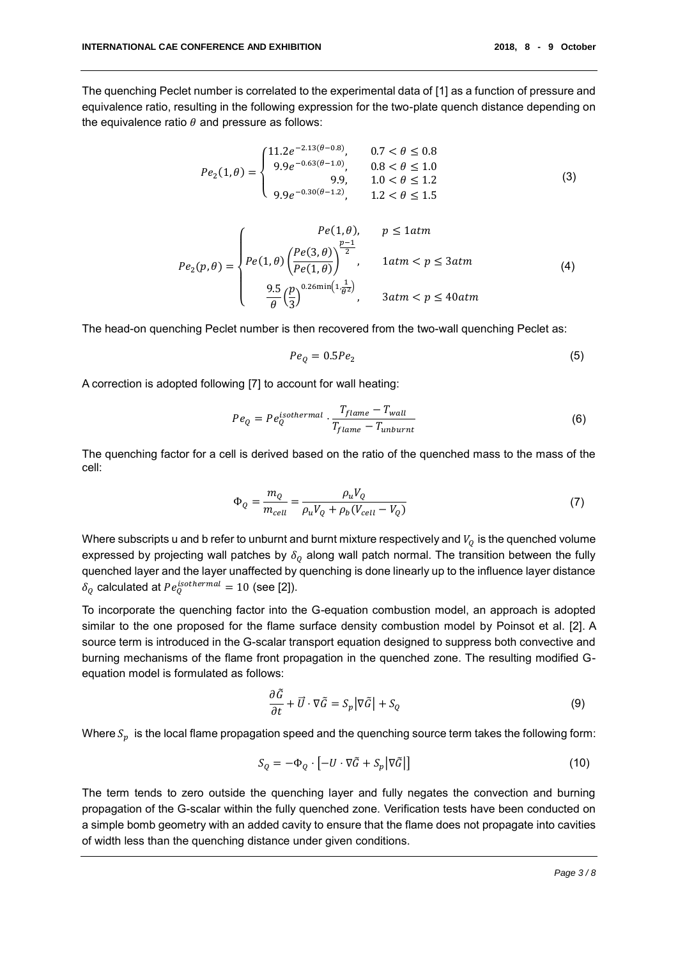The quenching Peclet number is correlated to the experimental data of [1] as a function of pressure and equivalence ratio, resulting in the following expression for the two-plate quench distance depending on the equivalence ratio  $\theta$  and pressure as follows:

$$
Pe_2(1,\theta) = \begin{cases} 11.2e^{-2.13(\theta - 0.8)}, & 0.7 < \theta \le 0.8\\ 9.9e^{-0.63(\theta - 1.0)}, & 0.8 < \theta \le 1.0\\ 9.9, & 1.0 < \theta \le 1.2\\ 9.9e^{-0.30(\theta - 1.2)}, & 1.2 < \theta \le 1.5 \end{cases}
$$
(3)

$$
Pe_2(p,\theta) = \begin{cases} \n\qquad Pe(1,\theta), & p \le 1 \text{atm} \\ \nPe(1,\theta) \left( \frac{Pe(3,\theta)}{Pe(1,\theta)} \right)^{\frac{p-1}{2}}, & 1 \text{atm} < p \le 3 \text{atm} \\ \n\frac{9.5}{\theta} \left( \frac{p}{3} \right)^{0.26 \text{min} \left( 1, \frac{1}{\theta^2} \right)}, & 3 \text{atm} < p \le 40 \text{atm} \n\end{cases} \tag{4}
$$

The head-on quenching Peclet number is then recovered from the two-wall quenching Peclet as:

$$
Pe_Q = 0.5Pe_2 \tag{5}
$$

A correction is adopted following [7] to account for wall heating:

$$
Pe_Q = Pe_Q^{isothermal} \cdot \frac{T_{flame} - T_{wall}}{T_{flame} - T_{unburnt}} \tag{6}
$$

The quenching factor for a cell is derived based on the ratio of the quenched mass to the mass of the cell:

$$
\Phi_Q = \frac{m_Q}{m_{cell}} = \frac{\rho_u V_Q}{\rho_u V_Q + \rho_b (V_{cell} - V_Q)}\tag{7}
$$

Where subscripts u and b refer to unburnt and burnt mixture respectively and  $V<sub>o</sub>$  is the quenched volume expressed by projecting wall patches by  $\delta_{\varrho}$  along wall patch normal. The transition between the fully quenched layer and the layer unaffected by quenching is done linearly up to the influence layer distance  $\delta_Q$  calculated at  $Pe_Q^{isothermal} = 10$  (see [2]).

To incorporate the quenching factor into the G-equation combustion model, an approach is adopted similar to the one proposed for the flame surface density combustion model by Poinsot et al. [2]. A source term is introduced in the G-scalar transport equation designed to suppress both convective and burning mechanisms of the flame front propagation in the quenched zone. The resulting modified Gequation model is formulated as follows:

$$
\frac{\partial \tilde{G}}{\partial t} + \vec{U} \cdot \nabla \tilde{G} = S_p |\nabla \tilde{G}| + S_Q \tag{9}
$$

Where  $S_p$  is the local flame propagation speed and the quenching source term takes the following form:

$$
S_Q = -\Phi_Q \cdot \left[ -U \cdot \nabla \tilde{G} + S_p \middle| \nabla \tilde{G} \right] \tag{10}
$$

The term tends to zero outside the quenching layer and fully negates the convection and burning propagation of the G-scalar within the fully quenched zone. Verification tests have been conducted on a simple bomb geometry with an added cavity to ensure that the flame does not propagate into cavities of width less than the quenching distance under given conditions.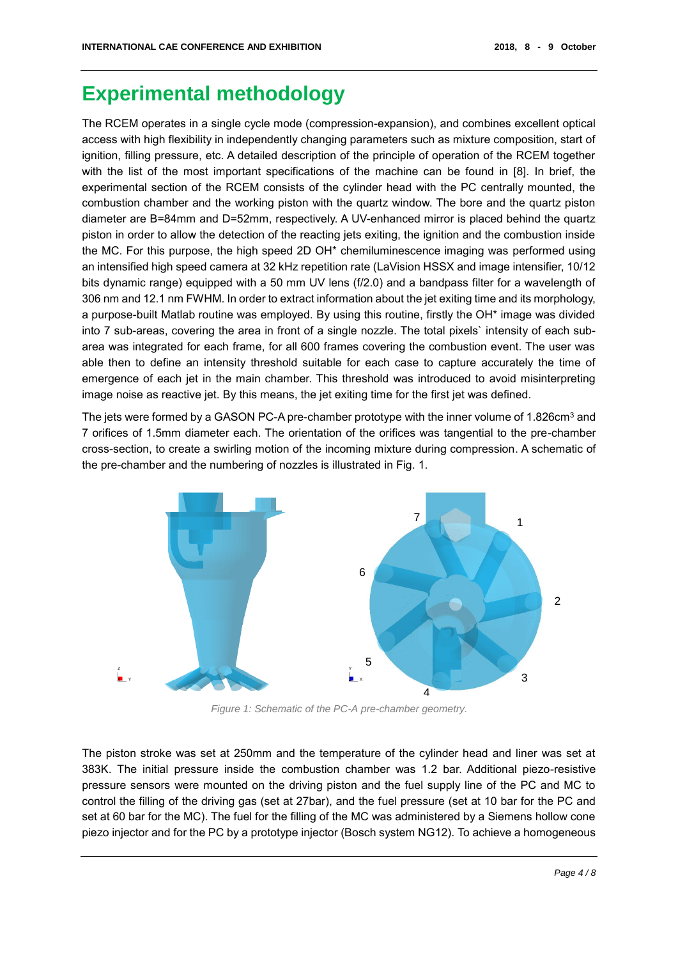## **Experimental methodology**

The RCEM operates in a single cycle mode (compression-expansion), and combines excellent optical access with high flexibility in independently changing parameters such as mixture composition, start of ignition, filling pressure, etc. A detailed description of the principle of operation of the RCEM together with the list of the most important specifications of the machine can be found in [8]. In brief, the experimental section of the RCEM consists of the cylinder head with the PC centrally mounted, the combustion chamber and the working piston with the quartz window. The bore and the quartz piston diameter are B=84mm and D=52mm, respectively. A UV-enhanced mirror is placed behind the quartz piston in order to allow the detection of the reacting jets exiting, the ignition and the combustion inside the MC. For this purpose, the high speed 2D OH\* chemiluminescence imaging was performed using an intensified high speed camera at 32 kHz repetition rate (LaVision HSSX and image intensifier, 10/12 bits dynamic range) equipped with a 50 mm UV lens (f/2.0) and a bandpass filter for a wavelength of 306 nm and 12.1 nm FWHM. In order to extract information about the jet exiting time and its morphology, a purpose-built Matlab routine was employed. By using this routine, firstly the OH\* image was divided into 7 sub-areas, covering the area in front of a single nozzle. The total pixels` intensity of each subarea was integrated for each frame, for all 600 frames covering the combustion event. The user was able then to define an intensity threshold suitable for each case to capture accurately the time of emergence of each jet in the main chamber. This threshold was introduced to avoid misinterpreting image noise as reactive jet. By this means, the jet exiting time for the first jet was defined.

The jets were formed by a GASON PC-A pre-chamber prototype with the inner volume of 1.826cm<sup>3</sup> and 7 orifices of 1.5mm diameter each. The orientation of the orifices was tangential to the pre-chamber cross-section, to create a swirling motion of the incoming mixture during compression. A schematic of the pre-chamber and the numbering of nozzles is illustrated in Fig. 1.



*Figure 1: Schematic of the PC-A pre-chamber geometry.*

The piston stroke was set at 250mm and the temperature of the cylinder head and liner was set at 383K. The initial pressure inside the combustion chamber was 1.2 bar. Additional piezo-resistive pressure sensors were mounted on the driving piston and the fuel supply line of the PC and MC to control the filling of the driving gas (set at 27bar), and the fuel pressure (set at 10 bar for the PC and set at 60 bar for the MC). The fuel for the filling of the MC was administered by a Siemens hollow cone piezo injector and for the PC by a prototype injector (Bosch system NG12). To achieve a homogeneous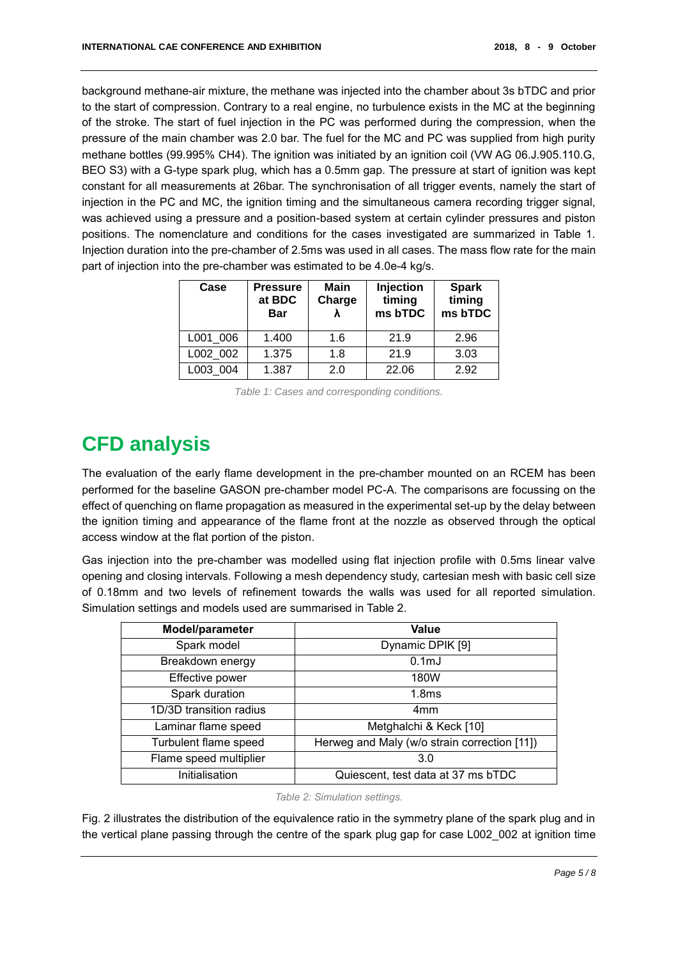background methane-air mixture, the methane was injected into the chamber about 3s bTDC and prior to the start of compression. Contrary to a real engine, no turbulence exists in the MC at the beginning of the stroke. The start of fuel injection in the PC was performed during the compression, when the pressure of the main chamber was 2.0 bar. The fuel for the MC and PC was supplied from high purity methane bottles (99.995% CH4). The ignition was initiated by an ignition coil (VW AG 06.J.905.110.G, BEO S3) with a G-type spark plug, which has a 0.5mm gap. The pressure at start of ignition was kept constant for all measurements at 26bar. The synchronisation of all trigger events, namely the start of injection in the PC and MC, the ignition timing and the simultaneous camera recording trigger signal, was achieved using a pressure and a position-based system at certain cylinder pressures and piston positions. The nomenclature and conditions for the cases investigated are summarized in Table 1. Injection duration into the pre-chamber of 2.5ms was used in all cases. The mass flow rate for the main part of injection into the pre-chamber was estimated to be 4.0e-4 kg/s.

| Case     | <b>Pressure</b><br>at BDC<br><b>Bar</b> | Main<br>Charge | <b>Injection</b><br>timing<br>ms bTDC | <b>Spark</b><br>timing<br>ms bTDC |
|----------|-----------------------------------------|----------------|---------------------------------------|-----------------------------------|
| L001 006 | 1.400                                   | 1.6            | 21.9                                  | 2.96                              |
| L002 002 | 1.375                                   | 1.8            | 21.9                                  | 3.03                              |
| L003 004 | 1.387                                   | 2.0            | 22.06                                 | 2.92                              |

*Table 1: Cases and corresponding conditions.*

# **CFD analysis**

The evaluation of the early flame development in the pre-chamber mounted on an RCEM has been performed for the baseline GASON pre-chamber model PC-A. The comparisons are focussing on the effect of quenching on flame propagation as measured in the experimental set-up by the delay between the ignition timing and appearance of the flame front at the nozzle as observed through the optical access window at the flat portion of the piston.

Gas injection into the pre-chamber was modelled using flat injection profile with 0.5ms linear valve opening and closing intervals. Following a mesh dependency study, cartesian mesh with basic cell size of 0.18mm and two levels of refinement towards the walls was used for all reported simulation. Simulation settings and models used are summarised in Table 2.

| Model/parameter         | Value                                        |  |
|-------------------------|----------------------------------------------|--|
| Spark model             | Dynamic DPIK [9]                             |  |
| Breakdown energy        | 0.1 <sub>m</sub>                             |  |
| Effective power         | 180W                                         |  |
| Spark duration          | 1.8 <sub>ms</sub>                            |  |
| 1D/3D transition radius | 4 <sub>mm</sub>                              |  |
| Laminar flame speed     | Metghalchi & Keck [10]                       |  |
| Turbulent flame speed   | Herweg and Maly (w/o strain correction [11]) |  |
| Flame speed multiplier  | 3.0                                          |  |
| Initialisation          | Quiescent, test data at 37 ms bTDC           |  |

*Table 2: Simulation settings.*

Fig. 2 illustrates the distribution of the equivalence ratio in the symmetry plane of the spark plug and in the vertical plane passing through the centre of the spark plug gap for case L002\_002 at ignition time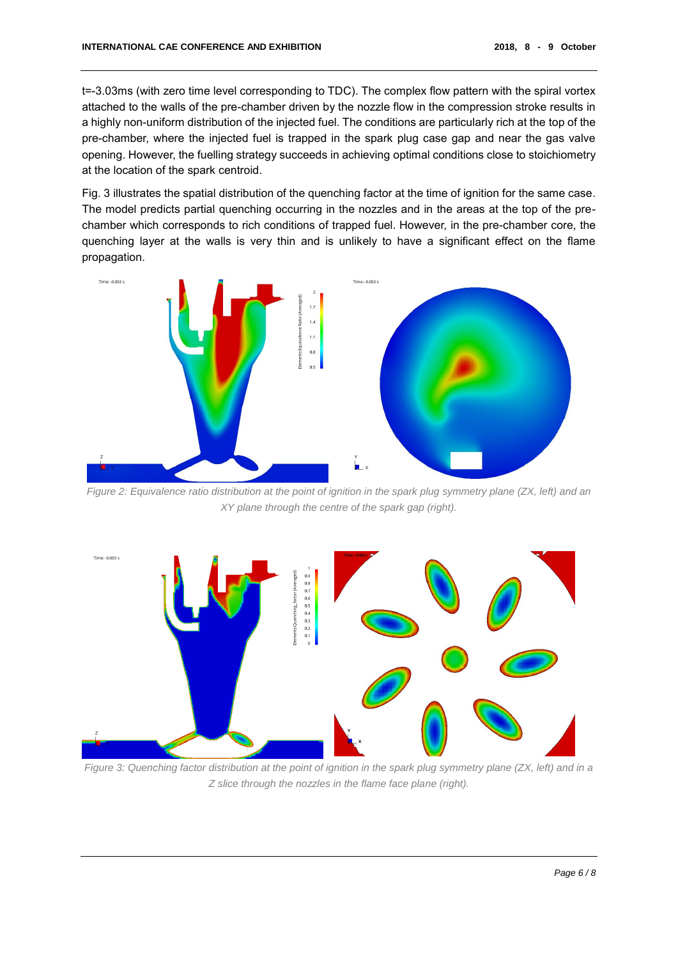t=-3.03ms (with zero time level corresponding to TDC). The complex flow pattern with the spiral vortex attached to the walls of the pre-chamber driven by the nozzle flow in the compression stroke results in a highly non-uniform distribution of the injected fuel. The conditions are particularly rich at the top of the pre-chamber, where the injected fuel is trapped in the spark plug case gap and near the gas valve opening. However, the fuelling strategy succeeds in achieving optimal conditions close to stoichiometry at the location of the spark centroid.

Fig. 3 illustrates the spatial distribution of the quenching factor at the time of ignition for the same case. The model predicts partial quenching occurring in the nozzles and in the areas at the top of the prechamber which corresponds to rich conditions of trapped fuel. However, in the pre-chamber core, the quenching layer at the walls is very thin and is unlikely to have a significant effect on the flame propagation.



*Figure 2: Equivalence ratio distribution at the point of ignition in the spark plug symmetry plane (ZX, left) and an XY plane through the centre of the spark gap (right).*



*Figure 3: Quenching factor distribution at the point of ignition in the spark plug symmetry plane (ZX, left) and in a Z slice through the nozzles in the flame face plane (right).*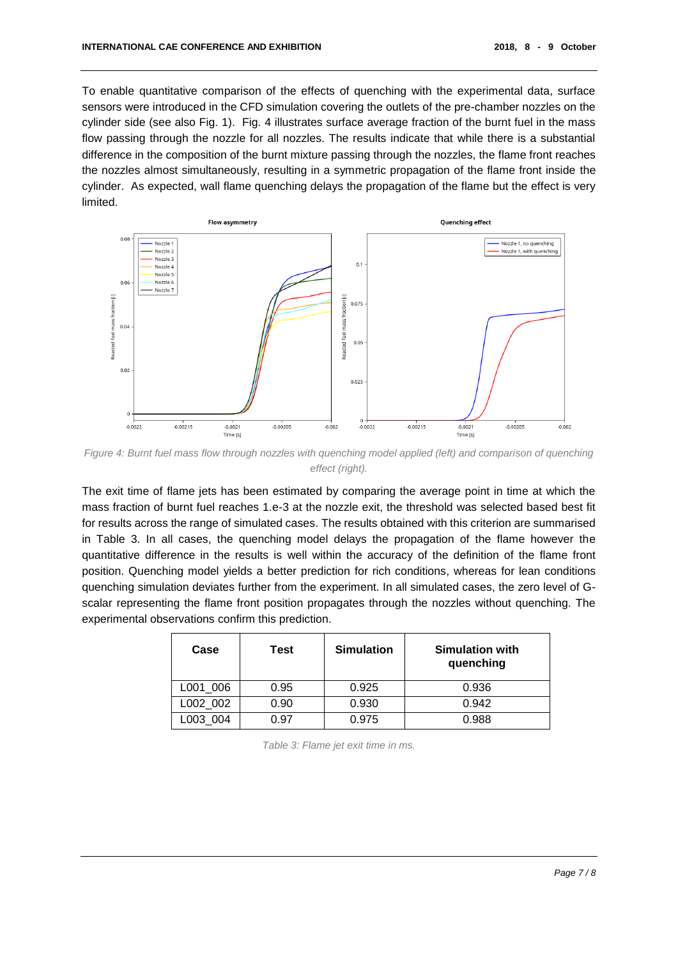To enable quantitative comparison of the effects of quenching with the experimental data, surface sensors were introduced in the CFD simulation covering the outlets of the pre-chamber nozzles on the cylinder side (see also Fig. 1). Fig. 4 illustrates surface average fraction of the burnt fuel in the mass flow passing through the nozzle for all nozzles. The results indicate that while there is a substantial difference in the composition of the burnt mixture passing through the nozzles, the flame front reaches the nozzles almost simultaneously, resulting in a symmetric propagation of the flame front inside the cylinder. As expected, wall flame quenching delays the propagation of the flame but the effect is very limited.



*Figure 4: Burnt fuel mass flow through nozzles with quenching model applied (left) and comparison of quenching effect (right).*

The exit time of flame jets has been estimated by comparing the average point in time at which the mass fraction of burnt fuel reaches 1.e-3 at the nozzle exit, the threshold was selected based best fit for results across the range of simulated cases. The results obtained with this criterion are summarised in Table 3. In all cases, the quenching model delays the propagation of the flame however the quantitative difference in the results is well within the accuracy of the definition of the flame front position. Quenching model yields a better prediction for rich conditions, whereas for lean conditions quenching simulation deviates further from the experiment. In all simulated cases, the zero level of Gscalar representing the flame front position propagates through the nozzles without quenching. The experimental observations confirm this prediction.

| Case     | Test | <b>Simulation</b> | <b>Simulation with</b><br>quenching |
|----------|------|-------------------|-------------------------------------|
| L001_006 | 0.95 | 0.925             | 0.936                               |
| L002 002 | 0.90 | 0.930             | 0.942                               |
| L003 004 | 0.97 | 0.975             | 0.988                               |

*Table 3: Flame jet exit time in ms.*